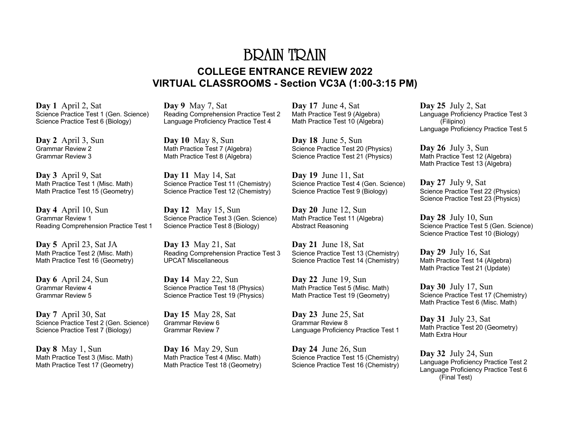## BRAIN TRAIN **COLLEGE ENTRANCE REVIEW 2022 VIRTUAL CLASSROOMS - Section VC3A (1:00-3:15 PM)**

**Day 1** April 2, Sat Science Practice Test 1 (Gen. Science) Science Practice Test 6 (Biology)

**Day 2** April 3, Sun Grammar Review 2 Grammar Review 3

**Day 3** April 9, Sat Math Practice Test 1 (Misc. Math) Math Practice Test 15 (Geometry)

**Day 4** April 10, Sun Grammar Review 1 Reading Comprehension Practice Test 1

**Day 5** April 23, Sat JA Math Practice Test 2 (Misc. Math) Math Practice Test 16 (Geometry)

**Day 6** April 24, Sun Grammar Review 4 Grammar Review 5

**Day 7** April 30, Sat Science Practice Test 2 (Gen. Science) Science Practice Test 7 (Biology)

**Day 8** May 1, Sun Math Practice Test 3 (Misc. Math) Math Practice Test 17 (Geometry) **Day 9** May 7, Sat Reading Comprehension Practice Test 2 Language Proficiency Practice Test 4

**Day 10** May 8, Sun Math Practice Test 7 (Algebra) Math Practice Test 8 (Algebra)

**Day 11** May 14, Sat Science Practice Test 11 (Chemistry) Science Practice Test 12 (Chemistry)

**Day 12** May 15, Sun Science Practice Test 3 (Gen. Science) Science Practice Test 8 (Biology)

**Day 13** May 21, Sat Reading Comprehension Practice Test 3 UPCAT Miscellaneous

**Day 14** May 22, Sun Science Practice Test 18 (Physics) Science Practice Test 19 (Physics)

**Day 15** May 28, Sat Grammar Review 6 Grammar Review 7

**Day 16** May 29, Sun Math Practice Test 4 (Misc. Math) Math Practice Test 18 (Geometry) **Day 17** June 4, Sat Math Practice Test 9 (Algebra) Math Practice Test 10 (Algebra)

**Day 18** June 5, Sun Science Practice Test 20 (Physics) Science Practice Test 21 (Physics)

**Day 19** June 11, Sat Science Practice Test 4 (Gen. Science) Science Practice Test 9 (Biology)

**Day 20** June 12, Sun Math Practice Test 11 (Algebra) Abstract Reasoning

**Day 21** June 18, Sat Science Practice Test 13 (Chemistry) Science Practice Test 14 (Chemistry)

**Day 22** June 19, Sun Math Practice Test 5 (Misc. Math) Math Practice Test 19 (Geometry)

**Day 23** June 25, Sat Grammar Review 8 Language Proficiency Practice Test 1

**Day 24** June 26, Sun Science Practice Test 15 (Chemistry) Science Practice Test 16 (Chemistry)

**Day 25** July 2, Sat Language Proficiency Practice Test 3 (Filipino) Language Proficiency Practice Test 5

**Day 26** July 3, Sun Math Practice Test 12 (Algebra) Math Practice Test 13 (Algebra)

**Day 27** July 9, Sat Science Practice Test 22 (Physics) Science Practice Test 23 (Physics)

**Day 28** July 10, Sun Science Practice Test 5 (Gen. Science) Science Practice Test 10 (Biology)

**Day 29** July 16, Sat Math Practice Test 14 (Algebra) Math Practice Test 21 (Update)

**Day 30** July 17, Sun Science Practice Test 17 (Chemistry) Math Practice Test 6 (Misc. Math)

**Day 31** July 23, Sat Math Practice Test 20 (Geometry) Math Extra Hour

**Day 32** July 24, Sun Language Proficiency Practice Test 2 Language Proficiency Practice Test 6 (Final Test)